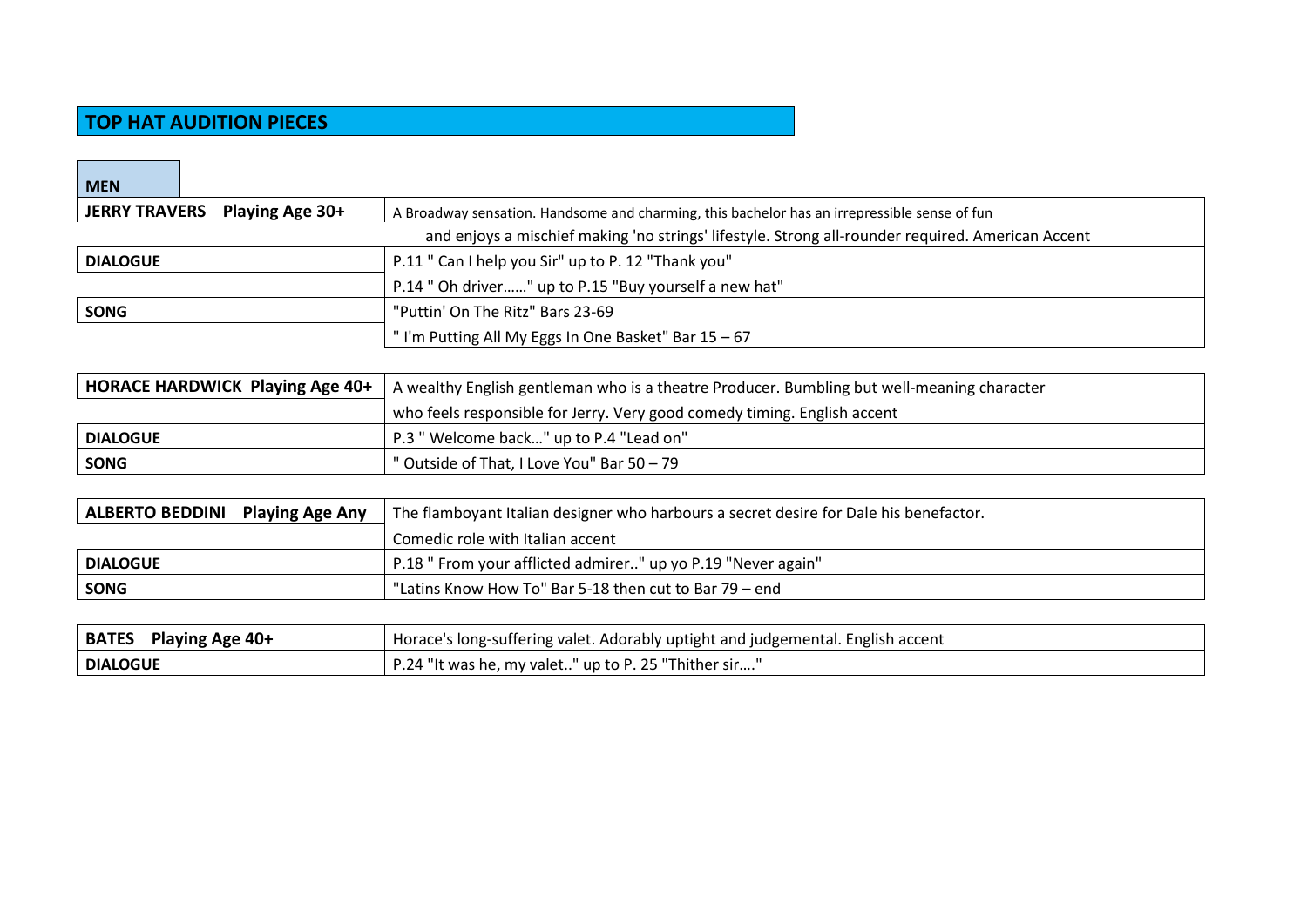## **TOP HAT AUDITION PIECES**

| <b>MEN</b>                                       |                                                                                                   |  |
|--------------------------------------------------|---------------------------------------------------------------------------------------------------|--|
| <b>JERRY TRAVERS</b><br><b>Playing Age 30+</b>   | A Broadway sensation. Handsome and charming, this bachelor has an irrepressible sense of fun      |  |
|                                                  | and enjoys a mischief making 'no strings' lifestyle. Strong all-rounder required. American Accent |  |
| <b>DIALOGUE</b>                                  | P.11 " Can I help you Sir" up to P. 12 "Thank you"                                                |  |
|                                                  | P.14 " Oh driver" up to P.15 "Buy yourself a new hat"                                             |  |
| <b>SONG</b>                                      | "Puttin' On The Ritz" Bars 23-69                                                                  |  |
|                                                  | "I'm Putting All My Eggs In One Basket" Bar 15 - 67                                               |  |
|                                                  |                                                                                                   |  |
| HORACE HARDWICK Playing Age 40+                  | A wealthy English gentleman who is a theatre Producer. Bumbling but well-meaning character        |  |
|                                                  | who feels responsible for Jerry. Very good comedy timing. English accent                          |  |
| <b>DIALOGUE</b>                                  | P.3 " Welcome back" up to P.4 "Lead on"                                                           |  |
| <b>SONG</b>                                      | " Outside of That, I Love You" Bar 50 - 79                                                        |  |
|                                                  |                                                                                                   |  |
| <b>ALBERTO BEDDINI</b><br><b>Playing Age Any</b> | The flamboyant Italian designer who harbours a secret desire for Dale his benefactor.             |  |
|                                                  | Comedic role with Italian accent                                                                  |  |
| <b>DIALOGUE</b>                                  | P.18 " From your afflicted admirer" up yo P.19 "Never again"                                      |  |
| <b>SONG</b>                                      | "Latins Know How To" Bar 5-18 then cut to Bar 79 - end                                            |  |
|                                                  |                                                                                                   |  |
| <b>BATES</b><br><b>Playing Age 40+</b>           | Horace's long-suffering valet. Adorably uptight and judgemental. English accent                   |  |
| <b>DIALOGUE</b>                                  | P.24 "It was he, my valet" up to P. 25 "Thither sir"                                              |  |